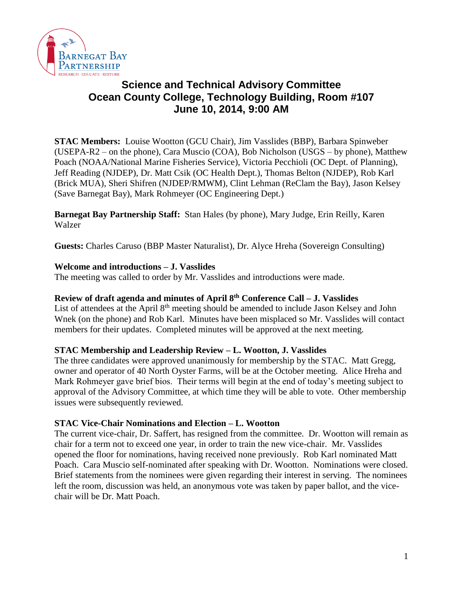

# **Science and Technical Advisory Committee Ocean County College, Technology Building, Room #107 June 10, 2014, 9:00 AM**

**STAC Members:** Louise Wootton (GCU Chair), Jim Vasslides (BBP), Barbara Spinweber (USEPA-R2 – on the phone), Cara Muscio (COA), Bob Nicholson (USGS – by phone), Matthew Poach (NOAA/National Marine Fisheries Service), Victoria Pecchioli (OC Dept. of Planning), Jeff Reading (NJDEP), Dr. Matt Csik (OC Health Dept.), Thomas Belton (NJDEP), Rob Karl (Brick MUA), Sheri Shifren (NJDEP/RMWM), Clint Lehman (ReClam the Bay), Jason Kelsey (Save Barnegat Bay), Mark Rohmeyer (OC Engineering Dept.)

**Barnegat Bay Partnership Staff:** Stan Hales (by phone), Mary Judge, Erin Reilly, Karen Walzer

**Guests:** Charles Caruso (BBP Master Naturalist), Dr. Alyce Hreha (Sovereign Consulting)

## **Welcome and introductions – J. Vasslides**

The meeting was called to order by Mr. Vasslides and introductions were made.

#### **Review of draft agenda and minutes of April 8th Conference Call – J. Vasslides**

List of attendees at the April 8<sup>th</sup> meeting should be amended to include Jason Kelsey and John Wnek (on the phone) and Rob Karl. Minutes have been misplaced so Mr. Vasslides will contact members for their updates. Completed minutes will be approved at the next meeting.

#### **STAC Membership and Leadership Review – L. Wootton, J. Vasslides**

The three candidates were approved unanimously for membership by the STAC. Matt Gregg, owner and operator of 40 North Oyster Farms, will be at the October meeting. Alice Hreha and Mark Rohmeyer gave brief bios. Their terms will begin at the end of today's meeting subject to approval of the Advisory Committee, at which time they will be able to vote. Other membership issues were subsequently reviewed.

#### **STAC Vice-Chair Nominations and Election – L. Wootton**

The current vice-chair, Dr. Saffert, has resigned from the committee. Dr. Wootton will remain as chair for a term not to exceed one year, in order to train the new vice-chair. Mr. Vasslides opened the floor for nominations, having received none previously. Rob Karl nominated Matt Poach. Cara Muscio self-nominated after speaking with Dr. Wootton. Nominations were closed. Brief statements from the nominees were given regarding their interest in serving. The nominees left the room, discussion was held, an anonymous vote was taken by paper ballot, and the vicechair will be Dr. Matt Poach.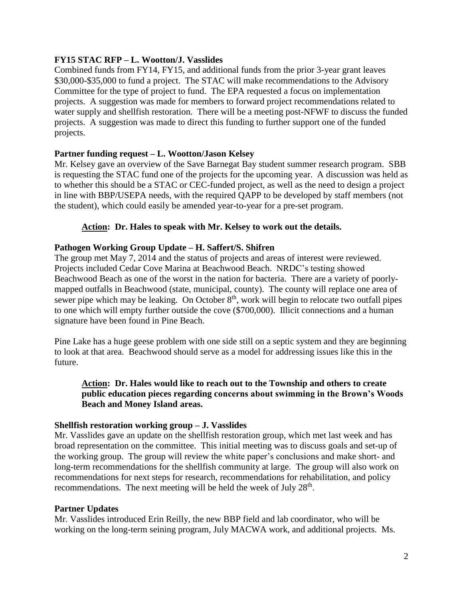## **FY15 STAC RFP – L. Wootton/J. Vasslides**

Combined funds from FY14, FY15, and additional funds from the prior 3-year grant leaves \$30,000-\$35,000 to fund a project. The STAC will make recommendations to the Advisory Committee for the type of project to fund. The EPA requested a focus on implementation projects. A suggestion was made for members to forward project recommendations related to water supply and shellfish restoration. There will be a meeting post-NFWF to discuss the funded projects. A suggestion was made to direct this funding to further support one of the funded projects.

## **Partner funding request – L. Wootton/Jason Kelsey**

Mr. Kelsey gave an overview of the Save Barnegat Bay student summer research program. SBB is requesting the STAC fund one of the projects for the upcoming year. A discussion was held as to whether this should be a STAC or CEC-funded project, as well as the need to design a project in line with BBP/USEPA needs, with the required QAPP to be developed by staff members (not the student), which could easily be amended year-to-year for a pre-set program.

## **Action: Dr. Hales to speak with Mr. Kelsey to work out the details.**

## **Pathogen Working Group Update – H. Saffert/S. Shifren**

The group met May 7, 2014 and the status of projects and areas of interest were reviewed. Projects included Cedar Cove Marina at Beachwood Beach. NRDC's testing showed Beachwood Beach as one of the worst in the nation for bacteria. There are a variety of poorlymapped outfalls in Beachwood (state, municipal, county). The county will replace one area of sewer pipe which may be leaking. On October  $8<sup>th</sup>$ , work will begin to relocate two outfall pipes to one which will empty further outside the cove (\$700,000). Illicit connections and a human signature have been found in Pine Beach.

Pine Lake has a huge geese problem with one side still on a septic system and they are beginning to look at that area. Beachwood should serve as a model for addressing issues like this in the future.

## **Action: Dr. Hales would like to reach out to the Township and others to create public education pieces regarding concerns about swimming in the Brown's Woods Beach and Money Island areas.**

#### **Shellfish restoration working group – J. Vasslides**

Mr. Vasslides gave an update on the shellfish restoration group, which met last week and has broad representation on the committee. This initial meeting was to discuss goals and set-up of the working group. The group will review the white paper's conclusions and make short- and long-term recommendations for the shellfish community at large. The group will also work on recommendations for next steps for research, recommendations for rehabilitation, and policy recommendations. The next meeting will be held the week of July  $28<sup>th</sup>$ .

#### **Partner Updates**

Mr. Vasslides introduced Erin Reilly, the new BBP field and lab coordinator, who will be working on the long-term seining program, July MACWA work, and additional projects. Ms.